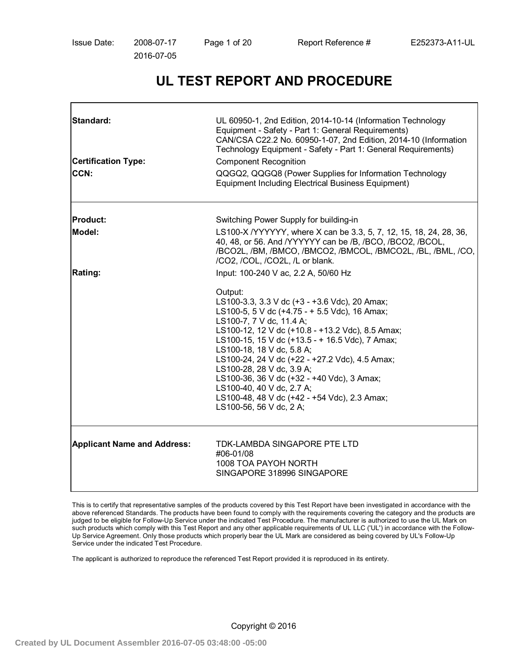# **UL TEST REPORT AND PROCEDURE**

| Standard:<br><b>Certification Type:</b><br><b>CCN:</b> | UL 60950-1, 2nd Edition, 2014-10-14 (Information Technology<br>Equipment - Safety - Part 1: General Requirements)<br>CAN/CSA C22.2 No. 60950-1-07, 2nd Edition, 2014-10 (Information<br>Technology Equipment - Safety - Part 1: General Requirements)<br><b>Component Recognition</b><br>QQGQ2, QQGQ8 (Power Supplies for Information Technology<br><b>Equipment Including Electrical Business Equipment)</b>                                                                                                  |
|--------------------------------------------------------|----------------------------------------------------------------------------------------------------------------------------------------------------------------------------------------------------------------------------------------------------------------------------------------------------------------------------------------------------------------------------------------------------------------------------------------------------------------------------------------------------------------|
| <b>Product:</b>                                        | Switching Power Supply for building-in                                                                                                                                                                                                                                                                                                                                                                                                                                                                         |
| <b>Model:</b>                                          | LS100-X/YYYYYY, where X can be 3.3, 5, 7, 12, 15, 18, 24, 28, 36,<br>40, 48, or 56. And /YYYYYY can be /B, /BCO, /BCO2, /BCOL,<br>/BCO2L, /BM, /BMCO, /BMCO2, /BMCOL, /BMCO2L, /BL, /BML, /CO,<br>/CO2, /COL, /CO2L, /L or blank.                                                                                                                                                                                                                                                                              |
| <b>Rating:</b>                                         | Input: 100-240 V ac, 2.2 A, 50/60 Hz                                                                                                                                                                                                                                                                                                                                                                                                                                                                           |
|                                                        | Output:<br>LS100-3.3, 3.3 V dc (+3 - +3.6 Vdc), 20 Amax;<br>LS100-5, 5 V dc (+4.75 - + 5.5 Vdc), 16 Amax;<br>LS100-7, 7 V dc, 11.4 A;<br>LS100-12, 12 V dc (+10.8 - +13.2 Vdc), 8.5 Amax;<br>LS100-15, 15 V dc (+13.5 - + 16.5 Vdc), 7 Amax;<br>LS100-18, 18 V dc, 5.8 A;<br>LS100-24, 24 V dc (+22 - +27.2 Vdc), 4.5 Amax;<br>LS100-28, 28 V dc, 3.9 A;<br>LS100-36, 36 V dc (+32 - +40 Vdc), 3 Amax;<br>LS100-40, 40 V dc, 2.7 A;<br>LS100-48, 48 V dc (+42 - +54 Vdc), 2.3 Amax;<br>LS100-56, 56 V dc, 2 A; |
| <b>Applicant Name and Address:</b>                     | TDK-LAMBDA SINGAPORE PTE LTD<br>#06-01/08<br>1008 TOA PAYOH NORTH<br>SINGAPORE 318996 SINGAPORE                                                                                                                                                                                                                                                                                                                                                                                                                |

This is to certify that representative samples of the products covered by this Test Report have been investigated in accordance with the above referenced Standards. The products have been found to comply with the requirements covering the category and the products are judged to be eligible for Follow-Up Service under the indicated Test Procedure. The manufacturer is authorized to use the UL Mark on such products which comply with this Test Report and any other applicable requirements of UL LLC ('UL') in accordance with the Follow-Up Service Agreement. Only those products which properly bear the UL Mark are considered as being covered by UL's Follow-Up Service under the indicated Test Procedure.

The applicant is authorized to reproduce the referenced Test Report provided it is reproduced in its entirety.

Copyright © 2016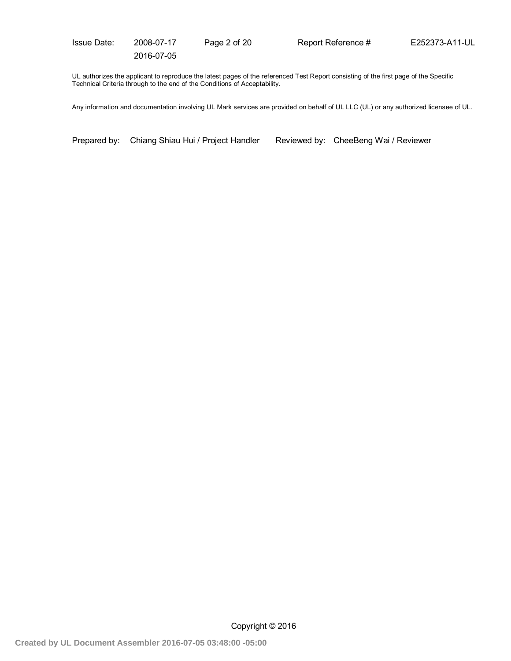Issue Date: 2008-07-17 Page 2 of 20 Report Reference # E252373-A11-UL

2016-07-05

UL authorizes the applicant to reproduce the latest pages of the referenced Test Report consisting of the first page of the Specific Technical Criteria through to the end of the Conditions of Acceptability.

Any information and documentation involving UL Mark services are provided on behalf of UL LLC (UL) or any authorized licensee of UL.

Prepared by: Chiang Shiau Hui / Project Handler Reviewed by: CheeBeng Wai / Reviewer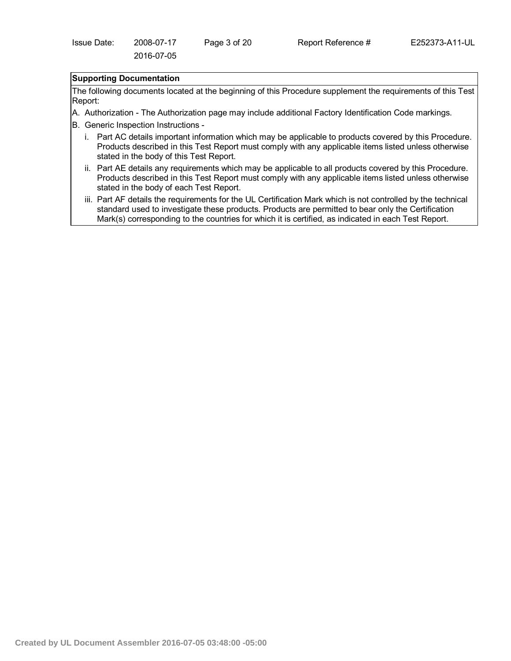# **Supporting Documentation**

The following documents located at the beginning of this Procedure supplement the requirements of this Test Report:

- A. Authorization The Authorization page may include additional Factory Identification Code markings.
- B. Generic Inspection Instructions
	- i. Part AC details important information which may be applicable to products covered by this Procedure. Products described in this Test Report must comply with any applicable items listed unless otherwise stated in the body of this Test Report.
	- ii. Part AE details any requirements which may be applicable to all products covered by this Procedure. Products described in this Test Report must comply with any applicable items listed unless otherwise stated in the body of each Test Report.
	- iii. Part AF details the requirements for the UL Certification Mark which is not controlled by the technical standard used to investigate these products. Products are permitted to bear only the Certification Mark(s) corresponding to the countries for which it is certified, as indicated in each Test Report.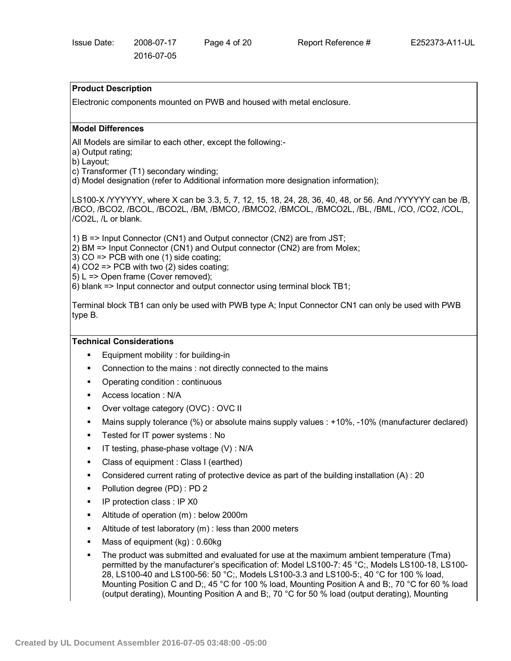### **Product Description**

Electronic components mounted on PWB and housed with metal enclosure.

#### **Model Differences**

All Models are similar to each other, except the following:-

a) Output rating;

b) Layout;

- c) Transformer (T1) secondary winding;
- d) Model designation (refer to Additional information more designation information);

LS100-X /YYYYYY, where X can be 3.3, 5, 7, 12, 15, 18, 24, 28, 36, 40, 48, or 56. And /YYYYYY can be /B, /BCO, /BCO2, /BCOL, /BCO2L, /BM, /BMCO, /BMCO2, /BMCOL, /BMCO2L, /BL, /BML, /CO, /CO2, /COL, /CO2L, /L or blank.

1) B => Input Connector (CN1) and Output connector (CN2) are from JST;

- 2) BM => Input Connector (CN1) and Output connector (CN2) are from Molex;
- 3) CO => PCB with one (1) side coating;

4) CO2 => PCB with two (2) sides coating;

5) L => Open frame (Cover removed);

6) blank => Input connector and output connector using terminal block TB1;

Terminal block TB1 can only be used with PWB type A; Input Connector CN1 can only be used with PWB type B.

#### **Technical Considerations**

- Equipment mobility : for building-in
- Connection to the mains : not directly connected to the mains
- Operating condition : continuous
- Access location : N/A
- Over voltage category (OVC) : OVC II
- Mains supply tolerance (%) or absolute mains supply values : +10%, -10% (manufacturer declared)
- **Fig. 3** Tested for IT power systems : No
- $\blacksquare$  IT testing, phase-phase voltage (V) : N/A
- Class of equipment : Class I (earthed)
- Considered current rating of protective device as part of the building installation (A) : 20
- Pollution degree (PD) : PD 2
- **IF protection class : IP X0**
- Altitude of operation (m) : below 2000m
- Altitude of test laboratory (m) : less than 2000 meters
- Mass of equipment (kg) : 0.60kg
- The product was submitted and evaluated for use at the maximum ambient temperature (Tma) permitted by the manufacturer's specification of: Model LS100-7: 45 °C;, Models LS100-18, LS100- 28, LS100-40 and LS100-56: 50 °C;, Models LS100-3.3 and LS100-5:, 40 °C for 100 % load, Mounting Position C and D;, 45 °C for 100 % load, Mounting Position A and B;, 70 °C for 60 % load (output derating), Mounting Position A and B;, 70 °C for 50 % load (output derating), Mounting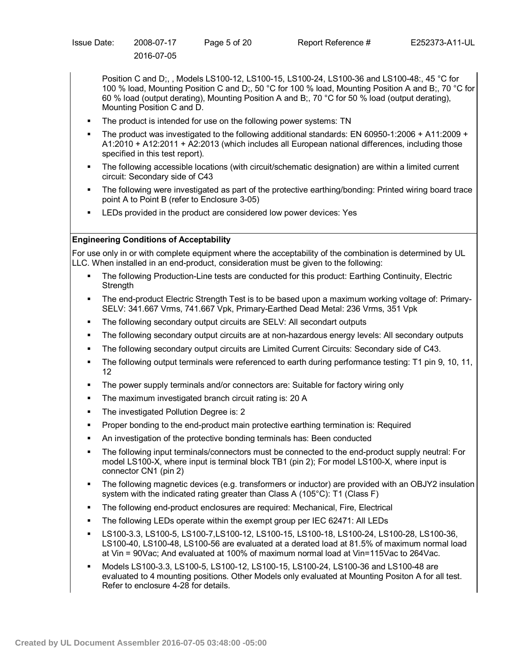Position C and D;, , Models LS100-12, LS100-15, LS100-24, LS100-36 and LS100-48:, 45 °C for 100 % load, Mounting Position C and D;, 50 °C for 100 % load, Mounting Position A and B;, 70 °C for 60 % load (output derating), Mounting Position A and B;, 70 °C for 50 % load (output derating), Mounting Position C and D.

- The product is intended for use on the following power systems: TN
- The product was investigated to the following additional standards: EN 60950-1:2006 + A11:2009 + A1:2010 + A12:2011 + A2:2013 (which includes all European national differences, including those specified in this test report).
- The following accessible locations (with circuit/schematic designation) are within a limited current circuit: Secondary side of C43
- The following were investigated as part of the protective earthing/bonding: Printed wiring board trace point A to Point B (refer to Enclosure 3-05)
- LEDs provided in the product are considered low power devices: Yes

## **Engineering Conditions of Acceptability**

For use only in or with complete equipment where the acceptability of the combination is determined by UL LLC. When installed in an end-product, consideration must be given to the following:

- The following Production-Line tests are conducted for this product: Earthing Continuity, Electric **Strength**
- The end-product Electric Strength Test is to be based upon a maximum working voltage of: Primary-SELV: 341.667 Vrms, 741.667 Vpk, Primary-Earthed Dead Metal: 236 Vrms, 351 Vpk
- The following secondary output circuits are SELV: All secondart outputs
- The following secondary output circuits are at non-hazardous energy levels: All secondary outputs
- The following secondary output circuits are Limited Current Circuits: Secondary side of C43.
- The following output terminals were referenced to earth during performance testing: T1 pin 9, 10, 11, 12
- The power supply terminals and/or connectors are: Suitable for factory wiring only
- **The maximum investigated branch circuit rating is: 20 A**
- **The investigated Pollution Degree is: 2**
- Proper bonding to the end-product main protective earthing termination is: Required
- An investigation of the protective bonding terminals has: Been conducted
- The following input terminals/connectors must be connected to the end-product supply neutral: For model LS100-X, where input is terminal block TB1 (pin 2); For model LS100-X, where input is connector CN1 (pin 2)
- The following magnetic devices (e.g. transformers or inductor) are provided with an OBJY2 insulation system with the indicated rating greater than Class A (105°C): T1 (Class F)
- The following end-product enclosures are required: Mechanical, Fire, Electrical
- The following LEDs operate within the exempt group per IEC 62471: All LEDs
- LS100-3.3, LS100-5, LS100-7,LS100-12, LS100-15, LS100-18, LS100-24, LS100-28, LS100-36, LS100-40, LS100-48, LS100-56 are evaluated at a derated load at 81.5% of maximum normal load at Vin = 90Vac; And evaluated at 100% of maximum normal load at Vin=115Vac to 264Vac.
- Models LS100-3.3, LS100-5, LS100-12, LS100-15, LS100-24, LS100-36 and LS100-48 are evaluated to 4 mounting positions. Other Models only evaluated at Mounting Positon A for all test. Refer to enclosure 4-28 for details.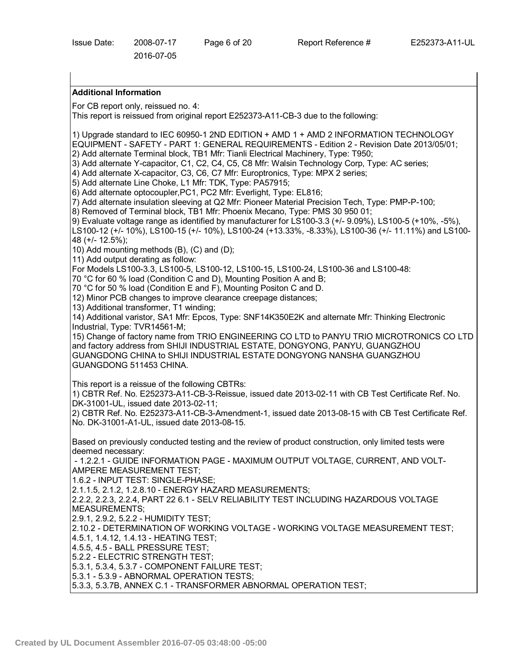# **Additional Information**

For CB report only, reissued no. 4:

This report is reissued from original report E252373-A11-CB-3 due to the following:

1) Upgrade standard to IEC 60950-1 2ND EDITION + AMD 1 + AMD 2 INFORMATION TECHNOLOGY EQUIPMENT - SAFETY - PART 1: GENERAL REQUIREMENTS - Edition 2 - Revision Date 2013/05/01; 2) Add alternate Terminal block, TB1 Mfr: Tianli Electrical Machinery, Type: T950;

3) Add alternate Y-capacitor, C1, C2, C4, C5, C8 Mfr: Walsin Technology Corp, Type: AC series;

4) Add alternate X-capacitor, C3, C6, C7 Mfr: Europtronics, Type: MPX 2 series;

5) Add alternate Line Choke, L1 Mfr: TDK, Type: PA57915;

6) Add alternate optocoupler,PC1, PC2 Mfr: Everlight, Type: EL816;

7) Add alternate insulation sleeving at Q2 Mfr: Pioneer Material Precision Tech, Type: PMP-P-100;

8) Removed of Terminal block, TB1 Mfr: Phoenix Mecano, Type: PMS 30 950 01;

9) Evaluate voltage range as identified by manufacturer for LS100-3.3 (+/- 9.09%), LS100-5 (+10%, -5%),

LS100-12 (+/- 10%), LS100-15 (+/- 10%), LS100-24 (+13.33%, -8.33%), LS100-36 (+/- 11.11%) and LS100- 48 (+/- 12.5%);

10) Add mounting methods (B), (C) and (D);

11) Add output derating as follow:

For Models LS100-3.3, LS100-5, LS100-12, LS100-15, LS100-24, LS100-36 and LS100-48:

70 °C for 60 % load (Condition C and D), Mounting Position A and B;

70 °C for 50 % load (Condition E and F), Mounting Positon C and D.

12) Minor PCB changes to improve clearance creepage distances;

13) Additional transformer, T1 winding;

14) Additional varistor, SA1 Mfr: Epcos, Type: SNF14K350E2K and alternate Mfr: Thinking Electronic Industrial, Type: TVR14561-M;

15) Change of factory name from TRIO ENGINEERING CO LTD to PANYU TRIO MICROTRONICS CO LTD and factory address from SHIJI INDUSTRIAL ESTATE, DONGYONG, PANYU, GUANGZHOU GUANGDONG CHINA to SHIJI INDUSTRIAL ESTATE DONGYONG NANSHA GUANGZHOU GUANGDONG 511453 CHINA.

This report is a reissue of the following CBTRs:

1) CBTR Ref. No. E252373-A11-CB-3-Reissue, issued date 2013-02-11 with CB Test Certificate Ref. No. DK-31001-UL, issued date 2013-02-11;

2) CBTR Ref. No. E252373-A11-CB-3-Amendment-1, issued date 2013-08-15 with CB Test Certificate Ref. No. DK-31001-A1-UL, issued date 2013-08-15.

Based on previously conducted testing and the review of product construction, only limited tests were deemed necessary:

- 1.2.2.1 - GUIDE INFORMATION PAGE - MAXIMUM OUTPUT VOLTAGE, CURRENT, AND VOLT-AMPERE MEASUREMENT TEST;

1.6.2 - INPUT TEST: SINGLE-PHASE;

2.1.1.5, 2.1.2, 1.2.8.10 - ENERGY HAZARD MEASUREMENTS;

2.2.2, 2.2.3, 2.2.4, PART 22 6.1 - SELV RELIABILITY TEST INCLUDING HAZARDOUS VOLTAGE MEASUREMENTS;

2.9.1, 2.9.2, 5.2.2 - HUMIDITY TEST;

2.10.2 - DETERMINATION OF WORKING VOLTAGE - WORKING VOLTAGE MEASUREMENT TEST;

4.5.1, 1.4.12, 1.4.13 - HEATING TEST;

4.5.5, 4.5 - BALL PRESSURE TEST;

5.2.2 - ELECTRIC STRENGTH TEST;

5.3.1, 5.3.4, 5.3.7 - COMPONENT FAILURE TEST;

5.3.1 - 5.3.9 - ABNORMAL OPERATION TESTS;

5.3.3, 5.3.7B, ANNEX C.1 - TRANSFORMER ABNORMAL OPERATION TEST;